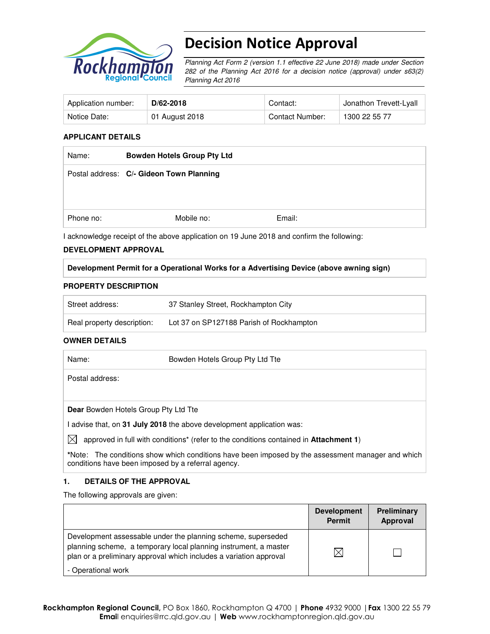

# Decision Notice Approval

Planning Act Form 2 (version 1.1 effective 22 June 2018) made under Section 282 of the Planning Act 2016 for a decision notice (approval) under s63(2) Planning Act 2016

| Application number: | D/62-2018      | Contact:        | Jonathon Trevett-Lyall |
|---------------------|----------------|-----------------|------------------------|
| Notice Date:        | 01 August 2018 | Contact Number: | 1300 22 55 77          |

## **APPLICANT DETAILS**

| Name:     | <b>Bowden Hotels Group Pty Ltd</b>       |        |
|-----------|------------------------------------------|--------|
|           | Postal address: C/- Gideon Town Planning |        |
|           |                                          |        |
| Phone no: | Mobile no:                               | Email: |

I acknowledge receipt of the above application on 19 June 2018 and confirm the following:

## **DEVELOPMENT APPROVAL**

## **Development Permit for a Operational Works for a Advertising Device (above awning sign)**

## **PROPERTY DESCRIPTION**

| Street address:            | 37 Stanley Street, Rockhampton City      |
|----------------------------|------------------------------------------|
| Real property description: | Lot 37 on SP127188 Parish of Rockhampton |

## **OWNER DETAILS**

| Name:                                | Bowden Hotels Group Pty Ltd Tte                                       |
|--------------------------------------|-----------------------------------------------------------------------|
| Postal address:                      |                                                                       |
|                                      |                                                                       |
| Dear Bowden Hotels Group Pty Ltd Tte |                                                                       |
|                                      | I advise that, on 31 July 2018 the above development application was: |

 $\boxtimes$  approved in full with conditions<sup>\*</sup> (refer to the conditions contained in **Attachment 1**)

**\***Note:The conditions show which conditions have been imposed by the assessment manager and which conditions have been imposed by a referral agency.

## **1. DETAILS OF THE APPROVAL**

The following approvals are given:

|                                                                                                                                                                                                        | <b>Development</b><br><b>Permit</b> | <b>Preliminary</b><br>Approval |
|--------------------------------------------------------------------------------------------------------------------------------------------------------------------------------------------------------|-------------------------------------|--------------------------------|
| Development assessable under the planning scheme, superseded<br>planning scheme, a temporary local planning instrument, a master<br>plan or a preliminary approval which includes a variation approval | IX                                  |                                |
| - Operational work                                                                                                                                                                                     |                                     |                                |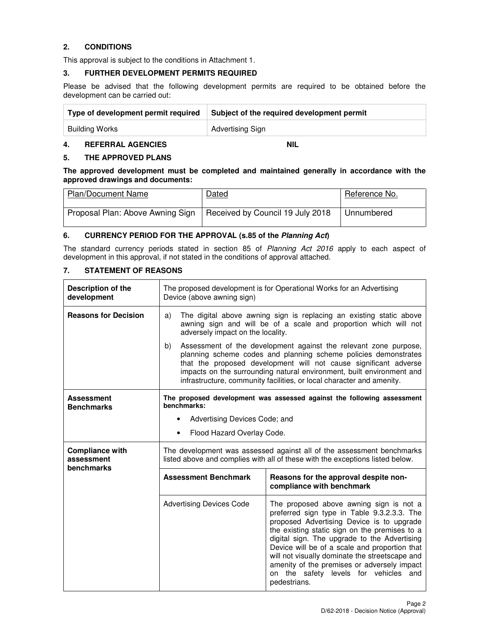## **2. CONDITIONS**

This approval is subject to the conditions in Attachment 1.

#### **3. FURTHER DEVELOPMENT PERMITS REQUIRED**

Please be advised that the following development permits are required to be obtained before the development can be carried out:

| Type of development permit required | Subject of the required development permit |
|-------------------------------------|--------------------------------------------|
| Building Works                      | Advertising Sign                           |

## **4. REFERRAL AGENCIES NIL**

#### **5. THE APPROVED PLANS**

**The approved development must be completed and maintained generally in accordance with the approved drawings and documents:** 

| <b>Plan/Document Name</b>        | Dated                            | Reference No. |
|----------------------------------|----------------------------------|---------------|
| Proposal Plan: Above Awning Sign | Received by Council 19 July 2018 | Unnumbered    |

## **6. CURRENCY PERIOD FOR THE APPROVAL (s.85 of the Planning Act)**

The standard currency periods stated in section 85 of Planning Act 2016 apply to each aspect of development in this approval, if not stated in the conditions of approval attached.

## **7. STATEMENT OF REASONS**

| Description of the<br>development                  | The proposed development is for Operational Works for an Advertising<br>Device (above awning sign)                                                                                 |                                                                                                                                                                                                                                                                                                                                                                                                                                                 |  |  |  |
|----------------------------------------------------|------------------------------------------------------------------------------------------------------------------------------------------------------------------------------------|-------------------------------------------------------------------------------------------------------------------------------------------------------------------------------------------------------------------------------------------------------------------------------------------------------------------------------------------------------------------------------------------------------------------------------------------------|--|--|--|
| <b>Reasons for Decision</b>                        | The digital above awning sign is replacing an existing static above<br>a)<br>awning sign and will be of a scale and proportion which will not<br>adversely impact on the locality. |                                                                                                                                                                                                                                                                                                                                                                                                                                                 |  |  |  |
|                                                    | b)                                                                                                                                                                                 | Assessment of the development against the relevant zone purpose,<br>planning scheme codes and planning scheme policies demonstrates<br>that the proposed development will not cause significant adverse<br>impacts on the surrounding natural environment, built environment and<br>infrastructure, community facilities, or local character and amenity.                                                                                       |  |  |  |
| <b>Assessment</b><br><b>Benchmarks</b>             | benchmarks:<br>$\bullet$                                                                                                                                                           | The proposed development was assessed against the following assessment<br>Advertising Devices Code; and                                                                                                                                                                                                                                                                                                                                         |  |  |  |
|                                                    | ٠                                                                                                                                                                                  | Flood Hazard Overlay Code.                                                                                                                                                                                                                                                                                                                                                                                                                      |  |  |  |
| <b>Compliance with</b><br>assessment<br>benchmarks | The development was assessed against all of the assessment benchmarks<br>listed above and complies with all of these with the exceptions listed below.                             |                                                                                                                                                                                                                                                                                                                                                                                                                                                 |  |  |  |
|                                                    | <b>Assessment Benchmark</b>                                                                                                                                                        | Reasons for the approval despite non-<br>compliance with benchmark                                                                                                                                                                                                                                                                                                                                                                              |  |  |  |
|                                                    | <b>Advertising Devices Code</b>                                                                                                                                                    | The proposed above awning sign is not a<br>preferred sign type in Table 9.3.2.3.3. The<br>proposed Advertising Device is to upgrade<br>the existing static sign on the premises to a<br>digital sign. The upgrade to the Advertising<br>Device will be of a scale and proportion that<br>will not visually dominate the streetscape and<br>amenity of the premises or adversely impact<br>on the safety levels for vehicles and<br>pedestrians. |  |  |  |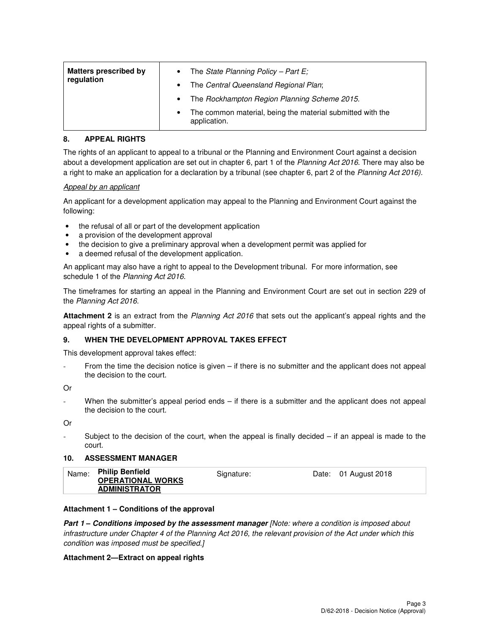| <b>Matters prescribed by</b><br>regulation | The State Planning Policy - Part $E_i$<br>٠                                     |
|--------------------------------------------|---------------------------------------------------------------------------------|
|                                            | The Central Queensland Regional Plan;<br>$\bullet$                              |
|                                            | The Rockhampton Region Planning Scheme 2015.<br>$\bullet$                       |
|                                            | The common material, being the material submitted with the<br>٠<br>application. |

## **8. APPEAL RIGHTS**

The rights of an applicant to appeal to a tribunal or the Planning and Environment Court against a decision about a development application are set out in chapter 6, part 1 of the Planning Act 2016. There may also be a right to make an application for a declaration by a tribunal (see chapter 6, part 2 of the Planning Act 2016).

## Appeal by an applicant

An applicant for a development application may appeal to the Planning and Environment Court against the following:

- the refusal of all or part of the development application
- a provision of the development approval
- the decision to give a preliminary approval when a development permit was applied for
- a deemed refusal of the development application.

An applicant may also have a right to appeal to the Development tribunal. For more information, see schedule 1 of the Planning Act 2016.

The timeframes for starting an appeal in the Planning and Environment Court are set out in section 229 of the Planning Act 2016.

**Attachment 2** is an extract from the Planning Act 2016 that sets out the applicant's appeal rights and the appeal rights of a submitter.

## **9. WHEN THE DEVELOPMENT APPROVAL TAKES EFFECT**

This development approval takes effect:

From the time the decision notice is given – if there is no submitter and the applicant does not appeal the decision to the court.

Or

When the submitter's appeal period ends – if there is a submitter and the applicant does not appeal the decision to the court.

Or

Subject to the decision of the court, when the appeal is finally decided  $-$  if an appeal is made to the court.

## **10. ASSESSMENT MANAGER**

| Name: | <b>Philip Benfield</b><br><b>OPERATIONAL WORKS</b><br><b>ADMINISTRATOR</b> | Signature: | Date: 01 August 2018 |  |
|-------|----------------------------------------------------------------------------|------------|----------------------|--|
|       |                                                                            |            |                      |  |

## **Attachment 1 – Conditions of the approval**

**Part 1 – Conditions imposed by the assessment manager** [Note: where a condition is imposed about infrastructure under Chapter 4 of the Planning Act 2016, the relevant provision of the Act under which this condition was imposed must be specified.]

## **Attachment 2—Extract on appeal rights**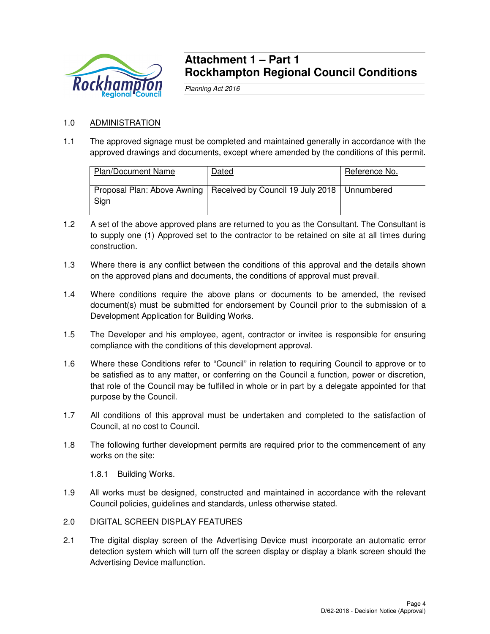

## **Attachment 1 – Part 1 Rockhampton Regional Council Conditions**

Planning Act 2016

## 1.0 ADMINISTRATION

1.1 The approved signage must be completed and maintained generally in accordance with the approved drawings and documents, except where amended by the conditions of this permit.

| <b>Plan/Document Name</b> | Dated                                                                       | Reference No. |
|---------------------------|-----------------------------------------------------------------------------|---------------|
| Sign                      | Proposal Plan: Above Awning   Received by Council 19 July 2018   Unnumbered |               |

- 1.2 A set of the above approved plans are returned to you as the Consultant. The Consultant is to supply one (1) Approved set to the contractor to be retained on site at all times during construction.
- 1.3 Where there is any conflict between the conditions of this approval and the details shown on the approved plans and documents, the conditions of approval must prevail.
- 1.4 Where conditions require the above plans or documents to be amended, the revised document(s) must be submitted for endorsement by Council prior to the submission of a Development Application for Building Works.
- 1.5 The Developer and his employee, agent, contractor or invitee is responsible for ensuring compliance with the conditions of this development approval.
- 1.6 Where these Conditions refer to "Council" in relation to requiring Council to approve or to be satisfied as to any matter, or conferring on the Council a function, power or discretion, that role of the Council may be fulfilled in whole or in part by a delegate appointed for that purpose by the Council.
- 1.7 All conditions of this approval must be undertaken and completed to the satisfaction of Council, at no cost to Council.
- 1.8 The following further development permits are required prior to the commencement of any works on the site:

1.8.1 Building Works.

1.9 All works must be designed, constructed and maintained in accordance with the relevant Council policies, guidelines and standards, unless otherwise stated.

## 2.0 DIGITAL SCREEN DISPLAY FEATURES

2.1 The digital display screen of the Advertising Device must incorporate an automatic error detection system which will turn off the screen display or display a blank screen should the Advertising Device malfunction.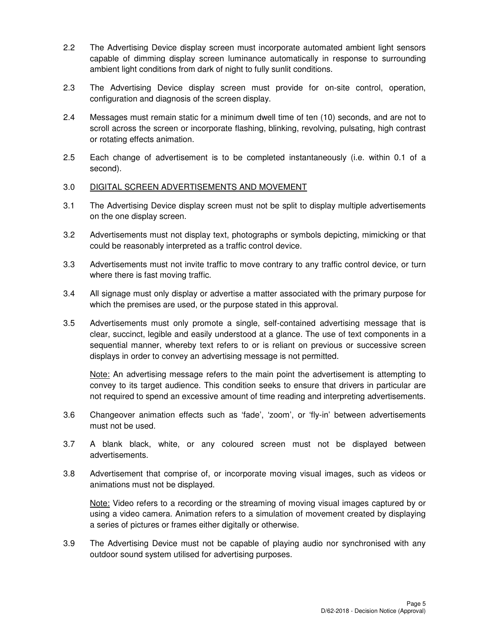- 2.2 The Advertising Device display screen must incorporate automated ambient light sensors capable of dimming display screen luminance automatically in response to surrounding ambient light conditions from dark of night to fully sunlit conditions.
- 2.3 The Advertising Device display screen must provide for on-site control, operation, configuration and diagnosis of the screen display.
- 2.4 Messages must remain static for a minimum dwell time of ten (10) seconds, and are not to scroll across the screen or incorporate flashing, blinking, revolving, pulsating, high contrast or rotating effects animation.
- 2.5 Each change of advertisement is to be completed instantaneously (i.e. within 0.1 of a second).
- 3.0 DIGITAL SCREEN ADVERTISEMENTS AND MOVEMENT
- 3.1 The Advertising Device display screen must not be split to display multiple advertisements on the one display screen.
- 3.2 Advertisements must not display text, photographs or symbols depicting, mimicking or that could be reasonably interpreted as a traffic control device.
- 3.3 Advertisements must not invite traffic to move contrary to any traffic control device, or turn where there is fast moving traffic.
- 3.4 All signage must only display or advertise a matter associated with the primary purpose for which the premises are used, or the purpose stated in this approval.
- 3.5 Advertisements must only promote a single, self-contained advertising message that is clear, succinct, legible and easily understood at a glance. The use of text components in a sequential manner, whereby text refers to or is reliant on previous or successive screen displays in order to convey an advertising message is not permitted.

 Note: An advertising message refers to the main point the advertisement is attempting to convey to its target audience. This condition seeks to ensure that drivers in particular are not required to spend an excessive amount of time reading and interpreting advertisements.

- 3.6 Changeover animation effects such as 'fade', 'zoom', or 'fly-in' between advertisements must not be used.
- 3.7 A blank black, white, or any coloured screen must not be displayed between advertisements.
- 3.8 Advertisement that comprise of, or incorporate moving visual images, such as videos or animations must not be displayed.

 Note: Video refers to a recording or the streaming of moving visual images captured by or using a video camera. Animation refers to a simulation of movement created by displaying a series of pictures or frames either digitally or otherwise.

3.9 The Advertising Device must not be capable of playing audio nor synchronised with any outdoor sound system utilised for advertising purposes.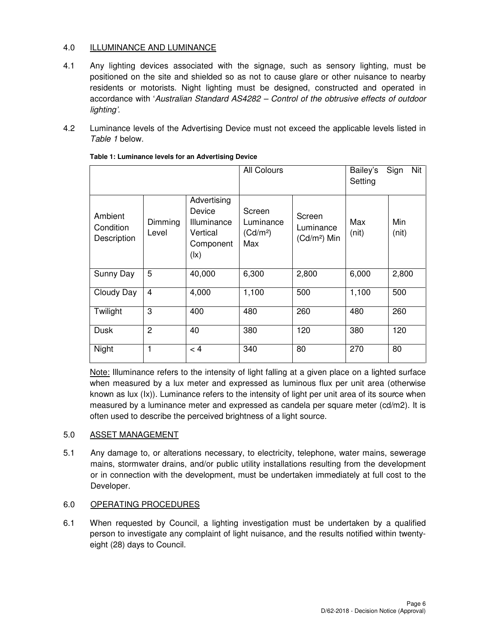## 4.0 ILLUMINANCE AND LUMINANCE

- 4.1 Any lighting devices associated with the signage, such as sensory lighting, must be positioned on the site and shielded so as not to cause glare or other nuisance to nearby residents or motorists. Night lighting must be designed, constructed and operated in accordance with 'Australian Standard AS4282 – Control of the obtrusive effects of outdoor lighting'.
- 4.2 Luminance levels of the Advertising Device must not exceed the applicable levels listed in Table 1 below.

|                                     |                  | <b>All Colours</b>                                                                        |                                                    | Bailey's<br>Setting                  | Nit<br>Sign  |              |
|-------------------------------------|------------------|-------------------------------------------------------------------------------------------|----------------------------------------------------|--------------------------------------|--------------|--------------|
| Ambient<br>Condition<br>Description | Dimming<br>Level | Advertising<br>Device<br>Illuminance<br>Vertical<br>Component<br>$(\mathsf{I}\mathsf{x})$ | Screen<br>Luminance<br>(Cd/m <sup>2</sup> )<br>Max | Screen<br>Luminance<br>$(Cd/m2)$ Min | Max<br>(nit) | Min<br>(nit) |
| Sunny Day                           | 5                | 40,000                                                                                    | 6,300                                              | 2,800                                | 6,000        | 2,800        |
| Cloudy Day                          | 4                | 4,000                                                                                     | 1,100                                              | 500                                  | 1,100        | 500          |
| Twilight                            | 3                | 400                                                                                       | 480                                                | 260                                  | 480          | 260          |
| Dusk                                | $\overline{2}$   | 40                                                                                        | 380                                                | 120                                  | 380          | 120          |
| Night                               | 1                | < 4                                                                                       | 340                                                | 80                                   | 270          | 80           |

## **Table 1: Luminance levels for an Advertising Device**

known as lux (Ix)). Luminance refers to the intensity of light per unit area of its source when Note: Illuminance refers to the intensity of light falling at a given place on a lighted surface when measured by a lux meter and expressed as luminous flux per unit area (otherwise measured by a luminance meter and expressed as candela per square meter (cd/m2). It is often used to describe the perceived brightness of a light source.

## 5.0 ASSET MANAGEMENT

5.1 Any damage to, or alterations necessary, to electricity, telephone, water mains, sewerage mains, stormwater drains, and/or public utility installations resulting from the development or in connection with the development, must be undertaken immediately at full cost to the Developer.

## 6.0 OPERATING PROCEDURES

6.1 When requested by Council, a lighting investigation must be undertaken by a qualified person to investigate any complaint of light nuisance, and the results notified within twentyeight (28) days to Council.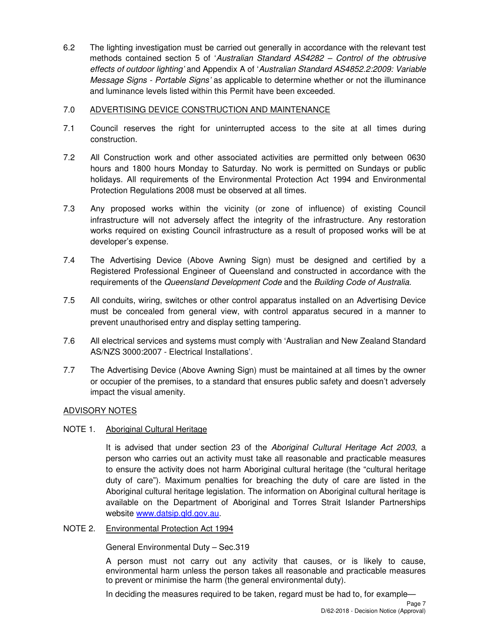6.2 The lighting investigation must be carried out generally in accordance with the relevant test methods contained section 5 of 'Australian Standard AS4282 – Control of the obtrusive effects of outdoor lighting' and Appendix A of 'Australian Standard AS4852.2:2009: Variable Message Signs - Portable Signs' as applicable to determine whether or not the illuminance and luminance levels listed within this Permit have been exceeded.

## 7.0 ADVERTISING DEVICE CONSTRUCTION AND MAINTENANCE

- 7.1 Council reserves the right for uninterrupted access to the site at all times during construction.
- 7.2 All Construction work and other associated activities are permitted only between 0630 hours and 1800 hours Monday to Saturday. No work is permitted on Sundays or public holidays. All requirements of the Environmental Protection Act 1994 and Environmental Protection Regulations 2008 must be observed at all times.
- 7.3 Any proposed works within the vicinity (or zone of influence) of existing Council infrastructure will not adversely affect the integrity of the infrastructure. Any restoration works required on existing Council infrastructure as a result of proposed works will be at developer's expense.
- 7.4 The Advertising Device (Above Awning Sign) must be designed and certified by a Registered Professional Engineer of Queensland and constructed in accordance with the requirements of the Queensland Development Code and the Building Code of Australia.
- 7.5 All conduits, wiring, switches or other control apparatus installed on an Advertising Device must be concealed from general view, with control apparatus secured in a manner to prevent unauthorised entry and display setting tampering.
- 7.6 All electrical services and systems must comply with 'Australian and New Zealand Standard AS/NZS 3000:2007 - Electrical Installations'.
- 7.7 The Advertising Device (Above Awning Sign) must be maintained at all times by the owner or occupier of the premises, to a standard that ensures public safety and doesn't adversely impact the visual amenity.

## ADVISORY NOTES

## NOTE 1. Aboriginal Cultural Heritage

It is advised that under section 23 of the Aboriginal Cultural Heritage Act 2003, a person who carries out an activity must take all reasonable and practicable measures to ensure the activity does not harm Aboriginal cultural heritage (the "cultural heritage duty of care"). Maximum penalties for breaching the duty of care are listed in the Aboriginal cultural heritage legislation. The information on Aboriginal cultural heritage is available on the Department of Aboriginal and Torres Strait Islander Partnerships website www.datsip.qld.gov.au.

NOTE 2. Environmental Protection Act 1994

General Environmental Duty – Sec.319

A person must not carry out any activity that causes, or is likely to cause, environmental harm unless the person takes all reasonable and practicable measures to prevent or minimise the harm (the general environmental duty).

In deciding the measures required to be taken, regard must be had to, for example—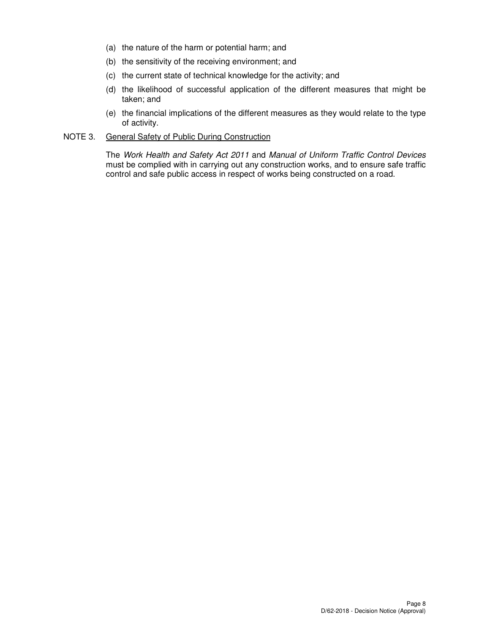- (a) the nature of the harm or potential harm; and
- (b) the sensitivity of the receiving environment; and
- (c) the current state of technical knowledge for the activity; and
- (d) the likelihood of successful application of the different measures that might be taken; and
- (e) the financial implications of the different measures as they would relate to the type of activity.

## NOTE 3. General Safety of Public During Construction

The Work Health and Safety Act 2011 and Manual of Uniform Traffic Control Devices must be complied with in carrying out any construction works, and to ensure safe traffic control and safe public access in respect of works being constructed on a road.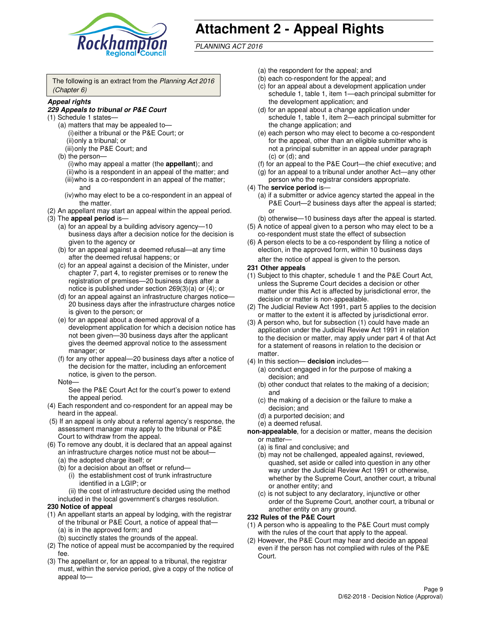

# **Attachment 2 - Appeal Rights**

PLANNING ACT 2016

The following is an extract from the Planning Act 2016 (Chapter 6)

#### **Appeal rights**

#### **229 Appeals to tribunal or P&E Court**

- (1) Schedule 1 states—
	- (a) matters that may be appealed to— (i) either a tribunal or the P&E Court; or (ii) only a tribunal; or (iii) only the P&E Court; and
	- (b) the person—
		- (i) who may appeal a matter (the **appellant**); and
		- (ii) who is a respondent in an appeal of the matter; and (iii) who is a co-respondent in an appeal of the matter;
		- and (iv) who may elect to be a co-respondent in an appeal of the matter.
- (2) An appellant may start an appeal within the appeal period.
- (3) The **appeal period** is—
	- (a) for an appeal by a building advisory agency—10 business days after a decision notice for the decision is given to the agency or
	- (b) for an appeal against a deemed refusal—at any time after the deemed refusal happens; or
	- (c) for an appeal against a decision of the Minister, under chapter 7, part 4, to register premises or to renew the registration of premises—20 business days after a notice is published under section 269(3)(a) or (4); or
	- (d) for an appeal against an infrastructure charges notice— 20 business days after the infrastructure charges notice is given to the person; or
	- (e) for an appeal about a deemed approval of a development application for which a decision notice has not been given—30 business days after the applicant gives the deemed approval notice to the assessment manager; or
	- (f) for any other appeal—20 business days after a notice of the decision for the matter, including an enforcement notice, is given to the person.
	- Note—

See the P&E Court Act for the court's power to extend the appeal period.

- (4) Each respondent and co-respondent for an appeal may be heard in the appeal.
- (5) If an appeal is only about a referral agency's response, the assessment manager may apply to the tribunal or P&E Court to withdraw from the appeal.
- (6) To remove any doubt, it is declared that an appeal against an infrastructure charges notice must not be about—
	- (a) the adopted charge itself; or
	- (b) for a decision about an offset or refund—
		- (i) the establishment cost of trunk infrastructure identified in a LGIP; or
		- (ii) the cost of infrastructure decided using the method
- included in the local government's charges resolution. **230 Notice of appeal**
- (1) An appellant starts an appeal by lodging, with the registrar of the tribunal or P&E Court, a notice of appeal that—
	- (a) is in the approved form; and
	- (b) succinctly states the grounds of the appeal.
- (2) The notice of appeal must be accompanied by the required fee.
- (3) The appellant or, for an appeal to a tribunal, the registrar must, within the service period, give a copy of the notice of appeal to—
- (a) the respondent for the appeal; and
- (b) each co-respondent for the appeal; and
- (c) for an appeal about a development application under schedule 1, table 1, item 1—each principal submitter for the development application; and
- (d) for an appeal about a change application under schedule 1, table 1, item 2—each principal submitter for the change application; and
- (e) each person who may elect to become a co-respondent for the appeal, other than an eligible submitter who is not a principal submitter in an appeal under paragraph  $(c)$  or  $(d)$ ; and
- (f) for an appeal to the P&E Court—the chief executive; and
- (g) for an appeal to a tribunal under another Act—any other person who the registrar considers appropriate.
- (4) The **service period** is—
	- (a) if a submitter or advice agency started the appeal in the P&E Court—2 business days after the appeal is started; or
	- (b) otherwise—10 business days after the appeal is started.
- (5) A notice of appeal given to a person who may elect to be a co-respondent must state the effect of subsection
- (6) A person elects to be a co-respondent by filing a notice of election, in the approved form, within 10 business days after the notice of appeal is given to the person*.*
- **231 Other appeals**
- (1) Subject to this chapter, schedule 1 and the P&E Court Act, unless the Supreme Court decides a decision or other matter under this Act is affected by jurisdictional error, the decision or matter is non-appealable.
- (2) The Judicial Review Act 1991, part 5 applies to the decision or matter to the extent it is affected by jurisdictional error.
- (3) A person who, but for subsection (1) could have made an application under the Judicial Review Act 1991 in relation to the decision or matter, may apply under part 4 of that Act for a statement of reasons in relation to the decision or matter.
- (4) In this section— **decision** includes—
	- (a) conduct engaged in for the purpose of making a decision; and
	- (b) other conduct that relates to the making of a decision; and
	- (c) the making of a decision or the failure to make a decision; and
	- (d) a purported decision; and
	- (e) a deemed refusal.

**non-appealable**, for a decision or matter, means the decision or matter—

- (a) is final and conclusive; and
- (b) may not be challenged, appealed against, reviewed, quashed, set aside or called into question in any other way under the Judicial Review Act 1991 or otherwise, whether by the Supreme Court, another court, a tribunal or another entity; and
- (c) is not subject to any declaratory, injunctive or other order of the Supreme Court, another court, a tribunal or another entity on any ground.

#### **232 Rules of the P&E Court**

- (1) A person who is appealing to the P&E Court must comply with the rules of the court that apply to the appeal.
- (2) However, the P&E Court may hear and decide an appeal even if the person has not complied with rules of the P&E Court.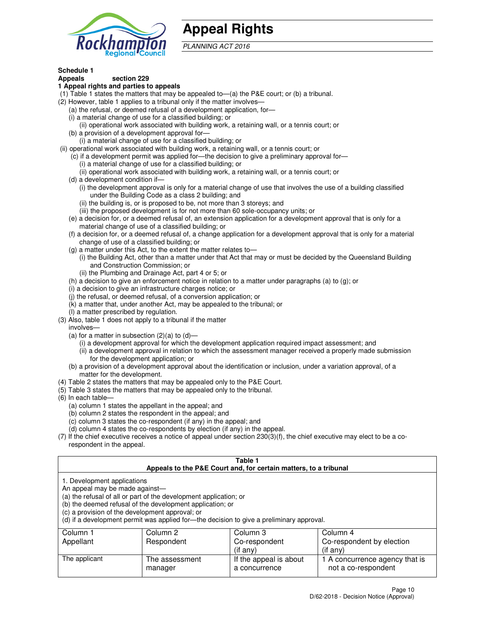

## **Appeal Rights**

PLANNING ACT 2016

## **Schedule 1**

## **Appeals section 229**

#### **1 Appeal rights and parties to appeals**

- (1) Table 1 states the matters that may be appealed to—(a) the P&E court; or (b) a tribunal.
- (2) However, table 1 applies to a tribunal only if the matter involves—
	- (a) the refusal, or deemed refusal of a development application, for—
	- (i) a material change of use for a classified building; or
	- (ii) operational work associated with building work, a retaining wall, or a tennis court; or
	- (b) a provision of a development approval for—
	- (i) a material change of use for a classified building; or
- (ii) operational work associated with building work, a retaining wall, or a tennis court; or
	- (c) if a development permit was applied for—the decision to give a preliminary approval for—
		- (i) a material change of use for a classified building; or
		- (ii) operational work associated with building work, a retaining wall, or a tennis court; or
	- (d) a development condition if—
		- (i) the development approval is only for a material change of use that involves the use of a building classified under the Building Code as a class 2 building; and
		- (ii) the building is, or is proposed to be, not more than 3 storeys; and
		- (iii) the proposed development is for not more than 60 sole-occupancy units; or
	- (e) a decision for, or a deemed refusal of, an extension application for a development approval that is only for a material change of use of a classified building; or
	- (f) a decision for, or a deemed refusal of, a change application for a development approval that is only for a material change of use of a classified building; or
	- (g) a matter under this Act, to the extent the matter relates to—
		- (i) the Building Act, other than a matter under that Act that may or must be decided by the Queensland Building and Construction Commission; or
		- (ii) the Plumbing and Drainage Act, part 4 or 5; or
	- (h) a decision to give an enforcement notice in relation to a matter under paragraphs (a) to (g); or
	- (i) a decision to give an infrastructure charges notice; or
	- (j) the refusal, or deemed refusal, of a conversion application; or
	- (k) a matter that, under another Act, may be appealed to the tribunal; or
	- (l) a matter prescribed by regulation.
- (3) Also, table 1 does not apply to a tribunal if the matter
	- involves—
	- (a) for a matter in subsection  $(2)(a)$  to  $(d)$ 
		- (i) a development approval for which the development application required impact assessment; and
		- (ii) a development approval in relation to which the assessment manager received a properly made submission for the development application; or
	- (b) a provision of a development approval about the identification or inclusion, under a variation approval, of a matter for the development.
- (4) Table 2 states the matters that may be appealed only to the P&E Court.
- (5) Table 3 states the matters that may be appealed only to the tribunal.
- (6) In each table—
	- (a) column 1 states the appellant in the appeal; and
	- (b) column 2 states the respondent in the appeal; and
	- (c) column 3 states the co-respondent (if any) in the appeal; and
	- (d) column 4 states the co-respondents by election (if any) in the appeal.
- $(7)$  If the chief executive receives a notice of appeal under section  $230(3)(f)$ , the chief executive may elect to be a corespondent in the appeal.

| Table 1<br>Appeals to the P&E Court and, for certain matters, to a tribunal                                                                                                                                                                                                                                                                    |                           |                                         |                                                       |  |
|------------------------------------------------------------------------------------------------------------------------------------------------------------------------------------------------------------------------------------------------------------------------------------------------------------------------------------------------|---------------------------|-----------------------------------------|-------------------------------------------------------|--|
| 1. Development applications<br>An appeal may be made against-<br>(a) the refusal of all or part of the development application; or<br>(b) the deemed refusal of the development application; or<br>(c) a provision of the development approval; or<br>(d) if a development permit was applied for—the decision to give a preliminary approval. |                           |                                         |                                                       |  |
| Column 1<br>Column 3<br>Column 2<br>Column 4                                                                                                                                                                                                                                                                                                   |                           |                                         |                                                       |  |
| Appellant<br>Co-respondent by election<br>Respondent<br>Co-respondent<br>(if any)<br>$($ if any $)$                                                                                                                                                                                                                                            |                           |                                         |                                                       |  |
| The applicant                                                                                                                                                                                                                                                                                                                                  | The assessment<br>manager | If the appeal is about<br>a concurrence | 1 A concurrence agency that is<br>not a co-respondent |  |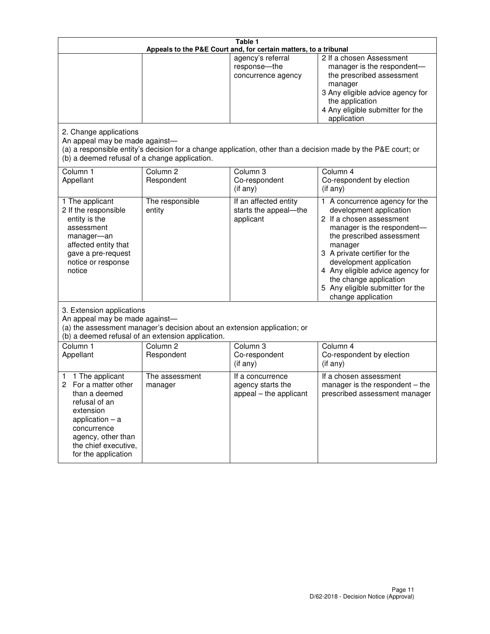| Table 1<br>Appeals to the P&E Court and, for certain matters, to a tribunal                                                                                                                             |                                                                                                                                                                                              |                                                                 |                                                                                                                                                                                                                                                                                                                                                 |  |
|---------------------------------------------------------------------------------------------------------------------------------------------------------------------------------------------------------|----------------------------------------------------------------------------------------------------------------------------------------------------------------------------------------------|-----------------------------------------------------------------|-------------------------------------------------------------------------------------------------------------------------------------------------------------------------------------------------------------------------------------------------------------------------------------------------------------------------------------------------|--|
| 2. Change applications                                                                                                                                                                                  |                                                                                                                                                                                              | agency's referral<br>response-the<br>concurrence agency         | 2 If a chosen Assessment<br>manager is the respondent-<br>the prescribed assessment<br>manager<br>3 Any eligible advice agency for<br>the application<br>4 Any eligible submitter for the<br>application                                                                                                                                        |  |
| An appeal may be made against-<br>(b) a deemed refusal of a change application.                                                                                                                         |                                                                                                                                                                                              |                                                                 | (a) a responsible entity's decision for a change application, other than a decision made by the P&E court; or                                                                                                                                                                                                                                   |  |
| Column 1<br>Appellant                                                                                                                                                                                   | Column <sub>2</sub><br>Respondent                                                                                                                                                            | Column <sub>3</sub><br>Co-respondent<br>(if any)                | Column 4<br>Co-respondent by election<br>(if any)                                                                                                                                                                                                                                                                                               |  |
| 1 The applicant<br>2 If the responsible<br>entity is the<br>assessment<br>manager-an<br>affected entity that<br>gave a pre-request<br>notice or response<br>notice                                      | The responsible<br>entity                                                                                                                                                                    | If an affected entity<br>starts the appeal-the<br>applicant     | 1 A concurrence agency for the<br>development application<br>2 If a chosen assessment<br>manager is the respondent-<br>the prescribed assessment<br>manager<br>3 A private certifier for the<br>development application<br>4 Any eligible advice agency for<br>the change application<br>5 Any eligible submitter for the<br>change application |  |
|                                                                                                                                                                                                         | 3. Extension applications<br>An appeal may be made against-<br>(a) the assessment manager's decision about an extension application; or<br>(b) a deemed refusal of an extension application. |                                                                 |                                                                                                                                                                                                                                                                                                                                                 |  |
| Column 1<br>Appellant                                                                                                                                                                                   | Column <sub>2</sub><br>Respondent                                                                                                                                                            | Column <sub>3</sub><br>Co-respondent<br>(if any)                | Column 4<br>Co-respondent by election<br>(if any)                                                                                                                                                                                                                                                                                               |  |
| 1 The applicant<br>1<br>For a matter other<br>2<br>than a deemed<br>refusal of an<br>extension<br>application $-$ a<br>concurrence<br>agency, other than<br>the chief executive,<br>for the application | The assessment<br>manager                                                                                                                                                                    | If a concurrence<br>agency starts the<br>appeal - the applicant | If a chosen assessment<br>manager is the respondent $-$ the<br>prescribed assessment manager                                                                                                                                                                                                                                                    |  |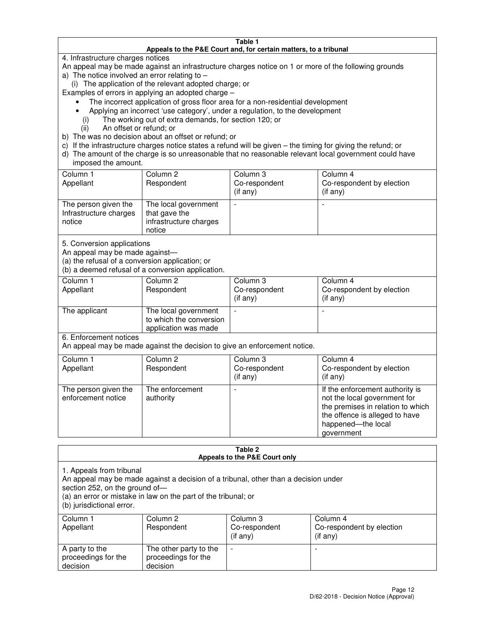#### **Table 1 Appeals to the P&E Court and, for certain matters, to a tribunal**

4. Infrastructure charges notices

An appeal may be made against an infrastructure charges notice on 1 or more of the following grounds

- a) The notice involved an error relating to
	- (i) The application of the relevant adopted charge; or

Examples of errors in applying an adopted charge –

- The incorrect application of gross floor area for a non-residential development
- Applying an incorrect 'use category', under a regulation, to the development
	- (i) The working out of extra demands, for section 120; or
	- (ii) An offset or refund; or
- b) The was no decision about an offset or refund; or
- c) If the infrastructure charges notice states a refund will be given the timing for giving the refund; or
- d) The amount of the charge is so unreasonable that no reasonable relevant local government could have imposed the amount.

| Column 1<br>Appellant                                    | Column 2<br>Respondent                                                    | Column 3<br>Co-respondent<br>$($ if any $)$ | Column 4<br>Co-respondent by election<br>$($ if any $)$ |
|----------------------------------------------------------|---------------------------------------------------------------------------|---------------------------------------------|---------------------------------------------------------|
| The person given the<br>Infrastructure charges<br>notice | The local government<br>that gave the<br>infrastructure charges<br>notice |                                             |                                                         |

5. Conversion applications

An appeal may be made against—

(a) the refusal of a conversion application; or

(b) a deemed refusal of a conversion application.

| Column 1<br>Appellant | Column 2<br>Respondent                                                  | Column 3<br>Co-respondent<br>$($ if any $)$ | Column 4<br>Co-respondent by election<br>$($ if any $)$ |
|-----------------------|-------------------------------------------------------------------------|---------------------------------------------|---------------------------------------------------------|
| The applicant         | The local government<br>to which the conversion<br>application was made |                                             |                                                         |

6. Enforcement notices

An appeal may be made against the decision to give an enforcement notice.

| Column 1<br>Appellant                      | Column 2<br>Respondent       | Column 3<br>Co-respondent<br>$($ if any $)$ | Column 4<br>Co-respondent by election<br>(if any)                                                                                                                          |
|--------------------------------------------|------------------------------|---------------------------------------------|----------------------------------------------------------------------------------------------------------------------------------------------------------------------------|
| The person given the<br>enforcement notice | The enforcement<br>authority |                                             | If the enforcement authority is<br>not the local government for<br>the premises in relation to which<br>the offence is alleged to have<br>happened-the local<br>government |

#### **Table 2 Appeals to the P&E Court only**

1. Appeals from tribunal

An appeal may be made against a decision of a tribunal, other than a decision under

section 252, on the ground of—

(a) an error or mistake in law on the part of the tribunal; or

(b) jurisdictional error.

| Column 1<br>Appellant                             | Column 2<br>Respondent                                    | Column 3<br>Co-respondent<br>(if any) | Column 4<br>Co-respondent by election<br>(if any) |
|---------------------------------------------------|-----------------------------------------------------------|---------------------------------------|---------------------------------------------------|
| A party to the<br>proceedings for the<br>decision | The other party to the<br>proceedings for the<br>decision | -                                     |                                                   |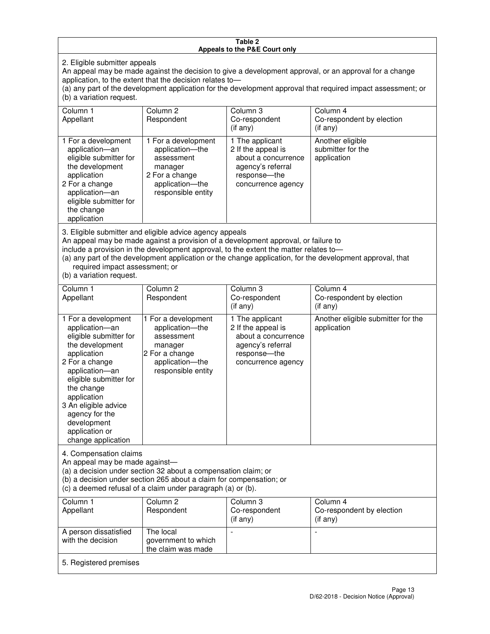#### **Table 2 Appeals to the P&E Court only**

2. Eligible submitter appeals

An appeal may be made against the decision to give a development approval, or an approval for a change application, to the extent that the decision relates to—

(a) any part of the development application for the development approval that required impact assessment; or (b) a variation request.

| Column 1<br>Appellant                                                                                                                                                                                                                                                                                                                                                                                              | Column 2<br>Respondent                                                                                                     | Column 3<br>Co-respondent<br>$($ if any $)$                                                                             | Column 4<br>Co-respondent by election<br>(if any)             |
|--------------------------------------------------------------------------------------------------------------------------------------------------------------------------------------------------------------------------------------------------------------------------------------------------------------------------------------------------------------------------------------------------------------------|----------------------------------------------------------------------------------------------------------------------------|-------------------------------------------------------------------------------------------------------------------------|---------------------------------------------------------------|
| 1 For a development<br>application-an<br>eligible submitter for<br>the development<br>application<br>2 For a change<br>application-an<br>eligible submitter for<br>the change<br>application                                                                                                                                                                                                                       | 1 For a development<br>application-the<br>assessment<br>manager<br>2 For a change<br>application-the<br>responsible entity | 1 The applicant<br>2 If the appeal is<br>about a concurrence<br>agency's referral<br>response-the<br>concurrence agency | Another eligible<br>submitter for the<br>application          |
| 3. Eligible submitter and eligible advice agency appeals<br>An appeal may be made against a provision of a development approval, or failure to<br>include a provision in the development approval, to the extent the matter relates to-<br>(a) any part of the development application or the change application, for the development approval, that<br>required impact assessment; or<br>(b) a variation request. |                                                                                                                            |                                                                                                                         |                                                               |
| Column <sub>1</sub><br>Appellant                                                                                                                                                                                                                                                                                                                                                                                   | Column <sub>2</sub><br>Respondent                                                                                          | Column 3<br>Co-respondent<br>$(if$ any)                                                                                 | Column <sub>4</sub><br>Co-respondent by election<br>(i f any) |
| 1 For a development<br>application-an<br>eligible submitter for<br>the development<br>application                                                                                                                                                                                                                                                                                                                  | 1 For a development<br>application-the<br>assessment<br>manager<br>2 For a change                                          | 1 The applicant<br>2 If the appeal is<br>about a concurrence<br>agency's referral<br>response---the                     | Another eligible submitter for the<br>application             |

concurrence agency

change application 4. Compensation claims

2 For a change application—an eligible submitter for

the change application 3 An eligible advice agency for the development application or

An appeal may be made against—

(a) a decision under section 32 about a compensation claim; or

(b) a decision under section 265 about a claim for compensation; or

application—the responsible entity

(c) a deemed refusal of a claim under paragraph (a) or (b).

| Column 1<br>Appellant                      | Column 2<br>Respondent                                 | Column 3<br>Co-respondent<br>(if any) | Column 4<br>Co-respondent by election<br>$($ if any $)$ |
|--------------------------------------------|--------------------------------------------------------|---------------------------------------|---------------------------------------------------------|
| A person dissatisfied<br>with the decision | The local<br>government to which<br>the claim was made | -                                     |                                                         |
| 5. Registered premises                     |                                                        |                                       |                                                         |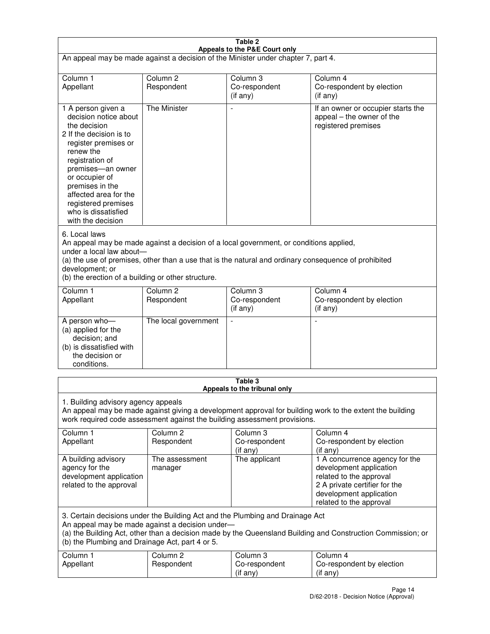| Table 2<br>Appeals to the P&E Court only                                                                                                                                                                                                                                                             |                                                                                                                                                                                                                                                                                  |                                         |                                                                                                                                                                             |  |  |
|------------------------------------------------------------------------------------------------------------------------------------------------------------------------------------------------------------------------------------------------------------------------------------------------------|----------------------------------------------------------------------------------------------------------------------------------------------------------------------------------------------------------------------------------------------------------------------------------|-----------------------------------------|-----------------------------------------------------------------------------------------------------------------------------------------------------------------------------|--|--|
| An appeal may be made against a decision of the Minister under chapter 7, part 4.                                                                                                                                                                                                                    |                                                                                                                                                                                                                                                                                  |                                         |                                                                                                                                                                             |  |  |
|                                                                                                                                                                                                                                                                                                      |                                                                                                                                                                                                                                                                                  |                                         |                                                                                                                                                                             |  |  |
| Column 1<br>Appellant                                                                                                                                                                                                                                                                                | Column <sub>2</sub><br>Respondent                                                                                                                                                                                                                                                | Column <sub>3</sub><br>Co-respondent    | Column <sub>4</sub><br>Co-respondent by election                                                                                                                            |  |  |
|                                                                                                                                                                                                                                                                                                      |                                                                                                                                                                                                                                                                                  | (if any)                                | (if any)                                                                                                                                                                    |  |  |
| 1 A person given a<br>decision notice about<br>the decision<br>2 If the decision is to<br>register premises or<br>renew the<br>registration of<br>premises-an owner<br>or occupier of<br>premises in the<br>affected area for the<br>registered premises<br>who is dissatisfied<br>with the decision | <b>The Minister</b>                                                                                                                                                                                                                                                              |                                         | If an owner or occupier starts the<br>appeal – the owner of the<br>registered premises                                                                                      |  |  |
| 6. Local laws<br>development; or                                                                                                                                                                                                                                                                     | An appeal may be made against a decision of a local government, or conditions applied,<br>under a local law about-<br>(a) the use of premises, other than a use that is the natural and ordinary consequence of prohibited<br>(b) the erection of a building or other structure. |                                         |                                                                                                                                                                             |  |  |
| Column 1                                                                                                                                                                                                                                                                                             | Column <sub>2</sub>                                                                                                                                                                                                                                                              | Column 3                                | Column $\overline{4}$                                                                                                                                                       |  |  |
| Appellant                                                                                                                                                                                                                                                                                            | Respondent                                                                                                                                                                                                                                                                       | Co-respondent<br>(if any)               | Co-respondent by election<br>(if any)                                                                                                                                       |  |  |
| A person who-<br>(a) applied for the<br>decision; and<br>(b) is dissatisfied with<br>the decision or<br>conditions.                                                                                                                                                                                  | The local government                                                                                                                                                                                                                                                             |                                         |                                                                                                                                                                             |  |  |
|                                                                                                                                                                                                                                                                                                      |                                                                                                                                                                                                                                                                                  | Table 3<br>Appeals to the tribunal only |                                                                                                                                                                             |  |  |
| 1. Building advisory agency appeals<br>An appeal may be made against giving a development approval for building work to the extent the building<br>work required code assessment against the building assessment provisions.                                                                         |                                                                                                                                                                                                                                                                                  |                                         |                                                                                                                                                                             |  |  |
| Column 1<br>Appellant                                                                                                                                                                                                                                                                                | Column <sub>2</sub><br>Respondent                                                                                                                                                                                                                                                | Column 3<br>Co-respondent<br>(if any)   | Column 4<br>Co-respondent by election<br>(if any)                                                                                                                           |  |  |
| A building advisory<br>agency for the<br>development application<br>related to the approval                                                                                                                                                                                                          | The assessment<br>manager                                                                                                                                                                                                                                                        | The applicant                           | 1 A concurrence agency for the<br>development application<br>related to the approval<br>2 A private certifier for the<br>development application<br>related to the approval |  |  |
| 3. Certain decisions under the Building Act and the Plumbing and Drainage Act<br>An appeal may be made against a decision under-<br>(a) the Building Act, other than a decision made by the Queensland Building and Construction Commission; or<br>(b) the Plumbing and Drainage Act, part 4 or 5.   |                                                                                                                                                                                                                                                                                  |                                         |                                                                                                                                                                             |  |  |
| Column 1<br>Appellant                                                                                                                                                                                                                                                                                | Column <sub>2</sub><br>Respondent                                                                                                                                                                                                                                                | Column 3<br>Co-respondent<br>(if any)   | Column 4<br>Co-respondent by election<br>(if any)                                                                                                                           |  |  |